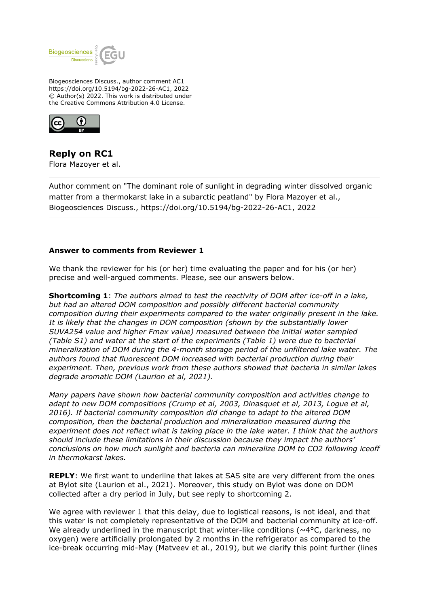

Biogeosciences Discuss., author comment AC1 https://doi.org/10.5194/bg-2022-26-AC1, 2022 © Author(s) 2022. This work is distributed under the Creative Commons Attribution 4.0 License.



**Reply on RC1** Flora Mazoyer et al.

Author comment on "The dominant role of sunlight in degrading winter dissolved organic matter from a thermokarst lake in a subarctic peatland" by Flora Mazoyer et al., Biogeosciences Discuss., https://doi.org/10.5194/bg-2022-26-AC1, 2022

## **Answer to comments from Reviewer 1**

We thank the reviewer for his (or her) time evaluating the paper and for his (or her) precise and well-argued comments. Please, see our answers below.

**Shortcoming 1**: *The authors aimed to test the reactivity of DOM after ice-off in a lake, but had an altered DOM composition and possibly different bacterial community composition during their experiments compared to the water originally present in the lake. It is likely that the changes in DOM composition (shown by the substantially lower SUVA254 value and higher Fmax value) measured between the initial water sampled (Table S1) and water at the start of the experiments (Table 1) were due to bacterial mineralization of DOM during the 4-month storage period of the unfiltered lake water. The authors found that fluorescent DOM increased with bacterial production during their experiment. Then, previous work from these authors showed that bacteria in similar lakes degrade aromatic DOM (Laurion et al, 2021).*

*Many papers have shown how bacterial community composition and activities change to adapt to new DOM compositions (Crump et al, 2003, Dinasquet et al, 2013, Logue et al, 2016). If bacterial community composition did change to adapt to the altered DOM composition, then the bacterial production and mineralization measured during the experiment does not reflect what is taking place in the lake water. I think that the authors should include these limitations in their discussion because they impact the authors' conclusions on how much sunlight and bacteria can mineralize DOM to CO2 following iceoff in thermokarst lakes.*

**REPLY**: We first want to underline that lakes at SAS site are very different from the ones at Bylot site (Laurion et al., 2021). Moreover, this study on Bylot was done on DOM collected after a dry period in July, but see reply to shortcoming 2.

We agree with reviewer 1 that this delay, due to logistical reasons, is not ideal, and that this water is not completely representative of the DOM and bacterial community at ice-off. We already underlined in the manuscript that winter-like conditions ( $\sim$ 4 $\degree$ C, darkness, no oxygen) were artificially prolongated by 2 months in the refrigerator as compared to the ice-break occurring mid-May (Matveev et al., 2019), but we clarify this point further (lines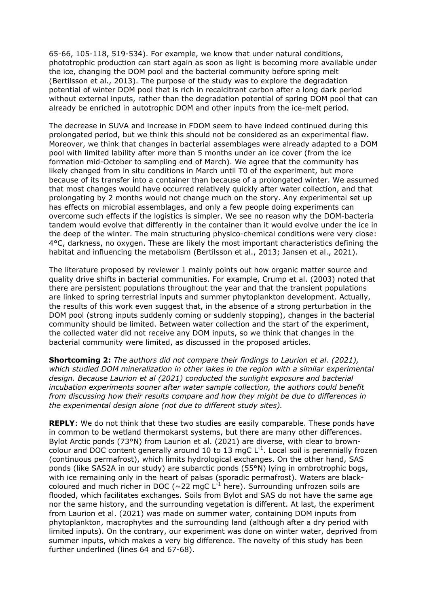65-66, 105-118, 519-534). For example, we know that under natural conditions, phototrophic production can start again as soon as light is becoming more available under the ice, changing the DOM pool and the bacterial community before spring melt (Bertilsson et al., 2013). The purpose of the study was to explore the degradation potential of winter DOM pool that is rich in recalcitrant carbon after a long dark period without external inputs, rather than the degradation potential of spring DOM pool that can already be enriched in autotrophic DOM and other inputs from the ice-melt period.

The decrease in SUVA and increase in FDOM seem to have indeed continued during this prolongated period, but we think this should not be considered as an experimental flaw. Moreover, we think that changes in bacterial assemblages were already adapted to a DOM pool with limited lability after more than 5 months under an ice cover (from the ice formation mid-October to sampling end of March). We agree that the community has likely changed from in situ conditions in March until T0 of the experiment, but more because of its transfer into a container than because of a prolongated winter. We assumed that most changes would have occurred relatively quickly after water collection, and that prolongating by 2 months would not change much on the story. Any experimental set up has effects on microbial assemblages, and only a few people doing experiments can overcome such effects if the logistics is simpler. We see no reason why the DOM-bacteria tandem would evolve that differently in the container than it would evolve under the ice in the deep of the winter. The main structuring physico-chemical conditions were very close: 4°C, darkness, no oxygen. These are likely the most important characteristics defining the habitat and influencing the metabolism (Bertilsson et al., 2013; Jansen et al., 2021).

The literature proposed by reviewer 1 mainly points out how organic matter source and quality drive shifts in bacterial communities. For example, Crump et al. (2003) noted that there are persistent populations throughout the year and that the transient populations are linked to spring terrestrial inputs and summer phytoplankton development. Actually, the results of this work even suggest that, in the absence of a strong perturbation in the DOM pool (strong inputs suddenly coming or suddenly stopping), changes in the bacterial community should be limited. Between water collection and the start of the experiment, the collected water did not receive any DOM inputs, so we think that changes in the bacterial community were limited, as discussed in the proposed articles.

**Shortcoming 2:** *The authors did not compare their findings to Laurion et al. (2021), which studied DOM mineralization in other lakes in the region with a similar experimental design. Because Laurion et al (2021) conducted the sunlight exposure and bacterial incubation experiments sooner after water sample collection, the authors could benefit from discussing how their results compare and how they might be due to differences in the experimental design alone (not due to different study sites).*

**REPLY**: We do not think that these two studies are easily comparable. These ponds have in common to be wetland thermokarst systems, but there are many other differences. Bylot Arctic ponds (73°N) from Laurion et al. (2021) are diverse, with clear to browncolour and DOC content generally around 10 to 13 mgC  $L^{-1}$ . Local soil is perennially frozen (continuous permafrost), which limits hydrological exchanges. On the other hand, SAS ponds (like SAS2A in our study) are subarctic ponds (55°N) lying in ombrotrophic bogs, with ice remaining only in the heart of palsas (sporadic permafrost). Waters are blackcoloured and much richer in DOC ( $\sim$ 22 mgC L<sup>-1</sup> here). Surrounding unfrozen soils are flooded, which facilitates exchanges. Soils from Bylot and SAS do not have the same age nor the same history, and the surrounding vegetation is different. At last, the experiment from Laurion et al. (2021) was made on summer water, containing DOM inputs from phytoplankton, macrophytes and the surrounding land (although after a dry period with limited inputs). On the contrary, our experiment was done on winter water, deprived from summer inputs, which makes a very big difference. The novelty of this study has been further underlined (lines 64 and 67-68).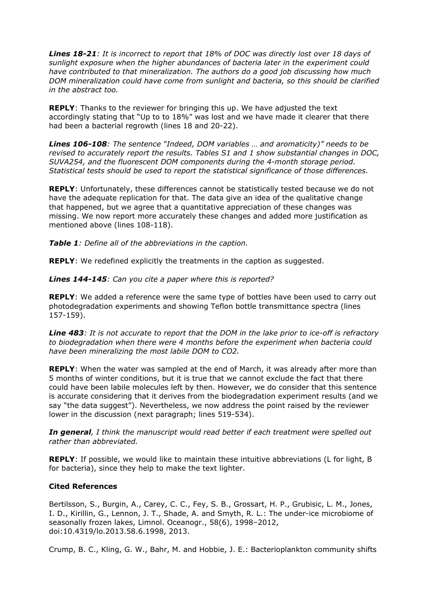*Lines 18-21: It is incorrect to report that 18% of DOC was directly lost over 18 days of sunlight exposure when the higher abundances of bacteria later in the experiment could have contributed to that mineralization. The authors do a good job discussing how much DOM mineralization could have come from sunlight and bacteria, so this should be clarified in the abstract too.*

**REPLY**: Thanks to the reviewer for bringing this up. We have adjusted the text accordingly stating that "Up to to 18%" was lost and we have made it clearer that there had been a bacterial regrowth (lines 18 and 20-22).

*Lines 106-108: The sentence "Indeed, DOM variables … and aromaticity)" needs to be revised to accurately report the results. Tables S1 and 1 show substantial changes in DOC, SUVA254, and the fluorescent DOM components during the 4-month storage period. Statistical tests should be used to report the statistical significance of those differences.*

**REPLY**: Unfortunately, these differences cannot be statistically tested because we do not have the adequate replication for that. The data give an idea of the qualitative change that happened, but we agree that a quantitative appreciation of these changes was missing. We now report more accurately these changes and added more justification as mentioned above (lines 108-118).

*Table 1: Define all of the abbreviations in the caption.*

**REPLY**: We redefined explicitly the treatments in the caption as suggested.

*Lines 144-145: Can you cite a paper where this is reported?*

**REPLY**: We added a reference were the same type of bottles have been used to carry out photodegradation experiments and showing Teflon bottle transmittance spectra (lines 157-159).

*Line 483: It is not accurate to report that the DOM in the lake prior to ice-off is refractory to biodegradation when there were 4 months before the experiment when bacteria could have been mineralizing the most labile DOM to CO2.*

**REPLY**: When the water was sampled at the end of March, it was already after more than 5 months of winter conditions, but it is true that we cannot exclude the fact that there could have been labile molecules left by then. However, we do consider that this sentence is accurate considering that it derives from the biodegradation experiment results (and we say "the data suggest"). Nevertheless, we now address the point raised by the reviewer lower in the discussion (next paragraph; lines 519-534).

*In general, I think the manuscript would read better if each treatment were spelled out rather than abbreviated.*

**REPLY**: If possible, we would like to maintain these intuitive abbreviations (L for light, B for bacteria), since they help to make the text lighter.

## **Cited References**

Bertilsson, S., Burgin, A., Carey, C. C., Fey, S. B., Grossart, H. P., Grubisic, L. M., Jones, I. D., Kirillin, G., Lennon, J. T., Shade, A. and Smyth, R. L.: The under-ice microbiome of seasonally frozen lakes, Limnol. Oceanogr., 58(6), 1998–2012, doi:10.4319/lo.2013.58.6.1998, 2013.

Crump, B. C., Kling, G. W., Bahr, M. and Hobbie, J. E.: Bacterioplankton community shifts